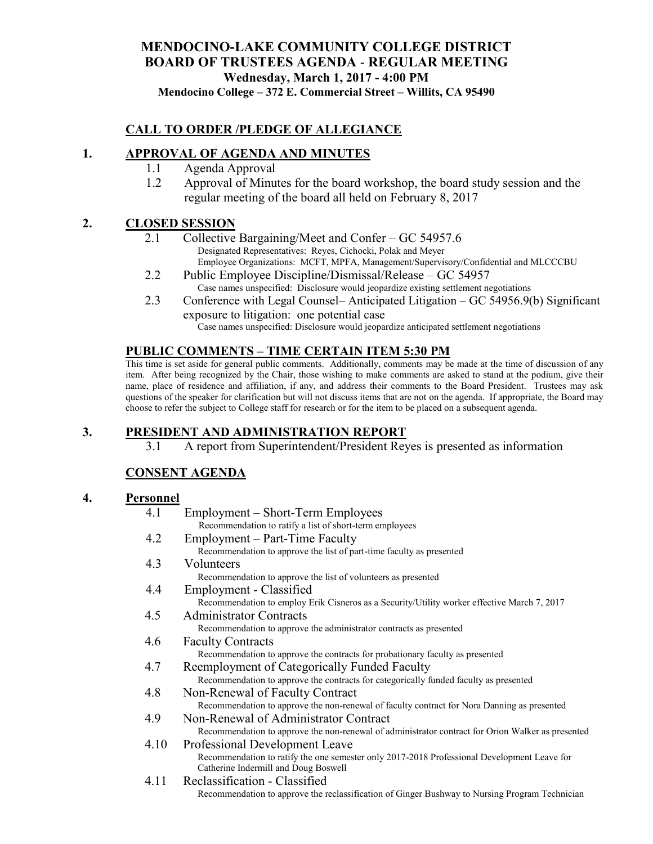# **MENDOCINO-LAKE COMMUNITY COLLEGE DISTRICT BOARD OF TRUSTEES AGENDA** - **REGULAR MEETING Wednesday, March 1, 2017 - 4:00 PM**

**Mendocino College – 372 E. Commercial Street – Willits, CA 95490**

### **CALL TO ORDER /PLEDGE OF ALLEGIANCE**

#### **1. APPROVAL OF AGENDA AND MINUTES**

- 1.1 Agenda Approval
- 1.2 Approval of Minutes for the board workshop, the board study session and the regular meeting of the board all held on February 8, 2017

### **2. CLOSED SESSION**

- 2.1 Collective Bargaining/Meet and Confer GC 54957.6 Designated Representatives: Reyes, Cichocki, Polak and Meyer Employee Organizations: MCFT, MPFA, Management/Supervisory/Confidential and MLCCCBU
- 2.2 Public Employee Discipline/Dismissal/Release GC 54957 Case names unspecified: Disclosure would jeopardize existing settlement negotiations
- 2.3 Conference with Legal Counsel– Anticipated Litigation GC 54956.9(b) Significant exposure to litigation: one potential case

Case names unspecified: Disclosure would jeopardize anticipated settlement negotiations

### **PUBLIC COMMENTS – TIME CERTAIN ITEM 5:30 PM**

This time is set aside for general public comments. Additionally, comments may be made at the time of discussion of any item. After being recognized by the Chair, those wishing to make comments are asked to stand at the podium, give their name, place of residence and affiliation, if any, and address their comments to the Board President. Trustees may ask questions of the speaker for clarification but will not discuss items that are not on the agenda. If appropriate, the Board may choose to refer the subject to College staff for research or for the item to be placed on a subsequent agenda.

### **3. PRESIDENT AND ADMINISTRATION REPORT**

3.1 A report from Superintendent/President Reyes is presented as information

## **CONSENT AGENDA**

#### **4. Personnel**

| 4.1  | Employment – Short-Term Employees                                                                 |
|------|---------------------------------------------------------------------------------------------------|
|      | Recommendation to ratify a list of short-term employees                                           |
| 4.2  | Employment – Part-Time Faculty                                                                    |
|      | Recommendation to approve the list of part-time faculty as presented                              |
| 4.3  | Volunteers                                                                                        |
|      | Recommendation to approve the list of volunteers as presented                                     |
| 4.4  | Employment - Classified                                                                           |
|      | Recommendation to employ Erik Cisneros as a Security/Utility worker effective March 7, 2017       |
| 4.5  | <b>Administrator Contracts</b>                                                                    |
|      | Recommendation to approve the administrator contracts as presented                                |
| 4.6  | <b>Faculty Contracts</b>                                                                          |
|      | Recommendation to approve the contracts for probationary faculty as presented                     |
| 4.7  | Reemployment of Categorically Funded Faculty                                                      |
|      | Recommendation to approve the contracts for categorically funded faculty as presented             |
| 4.8  | Non-Renewal of Faculty Contract                                                                   |
|      | Recommendation to approve the non-renewal of faculty contract for Nora Danning as presented       |
| 4.9  | Non-Renewal of Administrator Contract                                                             |
|      | Recommendation to approve the non-renewal of administrator contract for Orion Walker as presented |
| 4.10 | Professional Development Leave                                                                    |
|      | Recommendation to ratify the one semester only 2017-2018 Professional Development Leave for       |
|      | Catherine Indermill and Doug Boswell                                                              |
| 4.11 | Reclassification - Classified                                                                     |
|      | Recommendation to approve the reclassification of Ginger Bushway to Nursing Program Technician    |